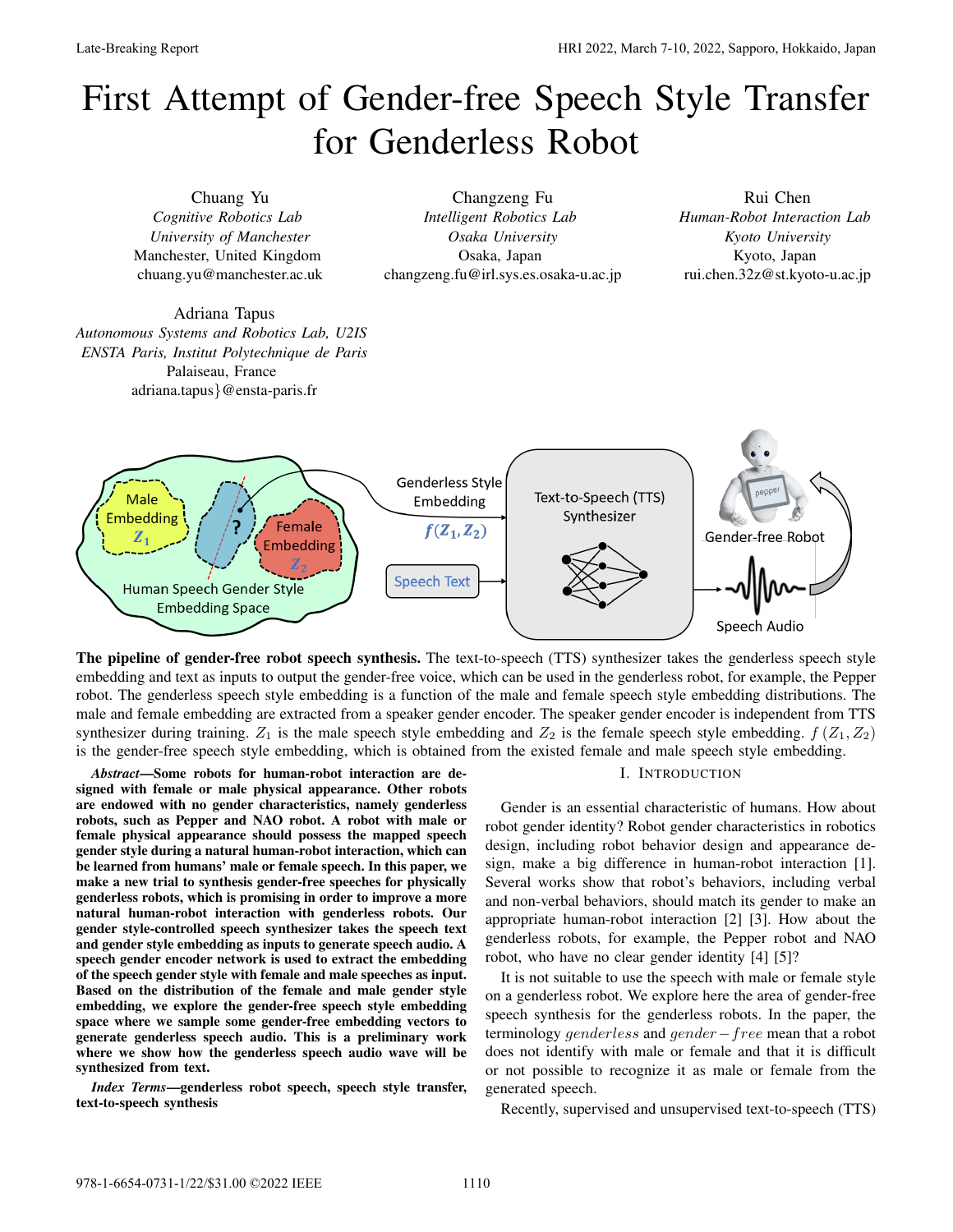# First Attempt of Gender-free Speech Style Transfer for Genderless Robot



The pipeline of gender-free robot speech synthesis. The text-to-speech (TTS) synthesizer takes the genderless speech style embedding and text as inputs to output the gender-free voice, which can be used in the genderless robot, for example, the Pepper robot. The genderless speech style embedding is a function of the male and female speech style embedding distributions. The male and female embedding are extracted from a speaker gender encoder. The speaker gender encoder is independent from TTS synthesizer during training.  $Z_1$  is the male speech style embedding and  $Z_2$  is the female speech style embedding.  $f(Z_1, Z_2)$ is the gender-free speech style embedding, which is obtained from the existed female and male speech style embedding.

*Abstract*—Some robots for human-robot interaction are designed with female or male physical appearance. Other robots are endowed with no gender characteristics, namely genderless robots, such as Pepper and NAO robot. A robot with male or female physical appearance should possess the mapped speech gender style during a natural human-robot interaction, which can be learned from humans' male or female speech. In this paper, we make a new trial to synthesis gender-free speeches for physically genderless robots, which is promising in order to improve a more natural human-robot interaction with genderless robots. Our gender style-controlled speech synthesizer takes the speech text and gender style embedding as inputs to generate speech audio. A speech gender encoder network is used to extract the embedding of the speech gender style with female and male speeches as input. Based on the distribution of the female and male gender style embedding, we explore the gender-free speech style embedding space where we sample some gender-free embedding vectors to generate genderless speech audio. This is a preliminary work where we show how the genderless speech audio wave will be synthesized from text.

*Index Terms*—genderless robot speech, speech style transfer, text-to-speech synthesis

#### I. INTRODUCTION

Gender is an essential characteristic of humans. How about robot gender identity? Robot gender characteristics in robotics design, including robot behavior design and appearance design, make a big difference in human-robot interaction [1]. Several works show that robot's behaviors, including verbal and non-verbal behaviors, should match its gender to make an appropriate human-robot interaction [2] [3]. How about the genderless robots, for example, the Pepper robot and NAO robot, who have no clear gender identity [4] [5]?

It is not suitable to use the speech with male or female style on a genderless robot. We explore here the area of gender-free speech synthesis for the genderless robots. In the paper, the terminology *genderless* and *gender free* mean that a robot does not identify with male or female and that it is difficult or not possible to recognize it as male or female from the generated speech.

Recently, supervised and unsupervised text-to-speech (TTS)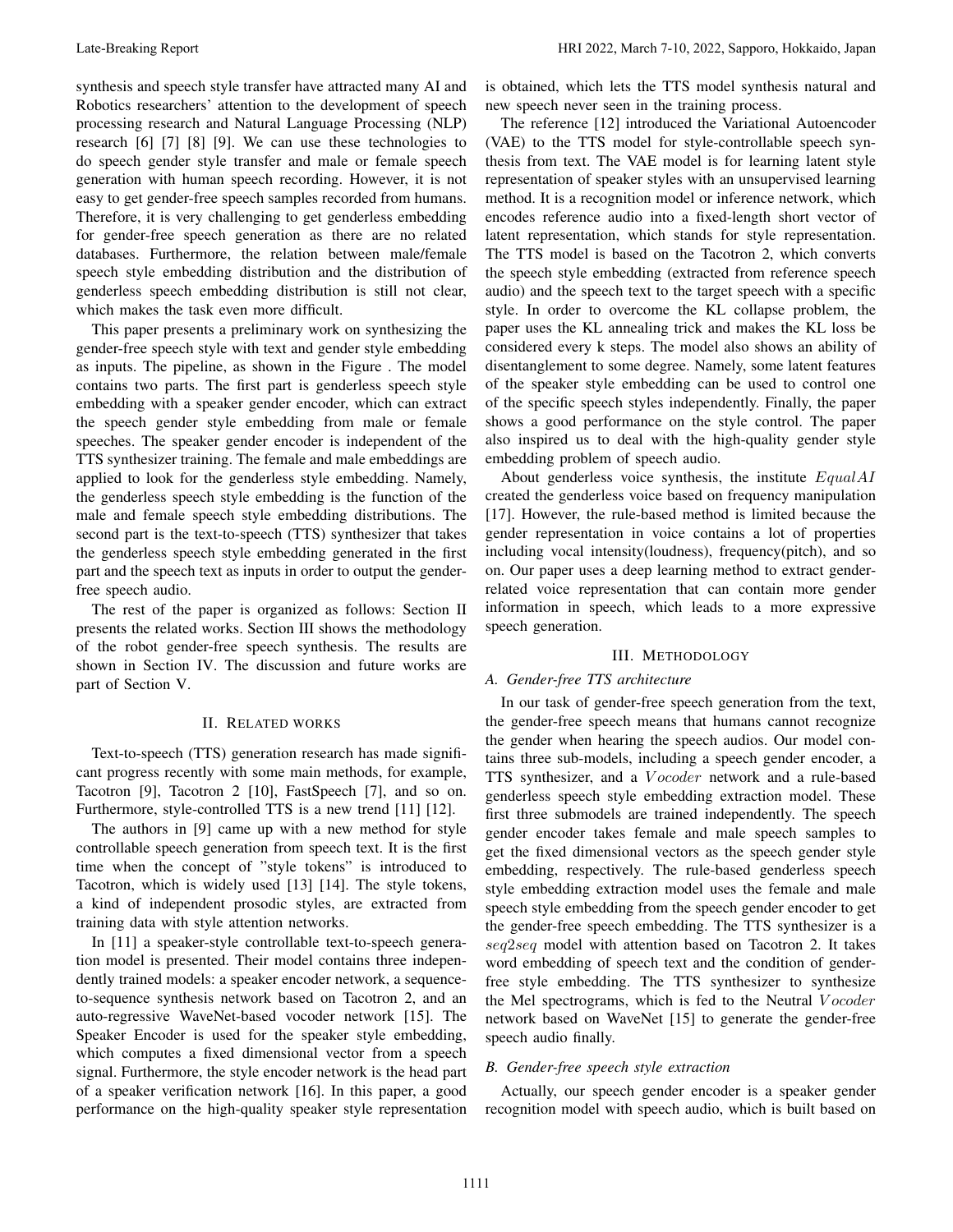synthesis and speech style transfer have attracted many AI and Robotics researchers' attention to the development of speech processing research and Natural Language Processing (NLP) research [6] [7] [8] [9]. We can use these technologies to do speech gender style transfer and male or female speech generation with human speech recording. However, it is not easy to get gender-free speech samples recorded from humans. Therefore, it is very challenging to get genderless embedding for gender-free speech generation as there are no related databases. Furthermore, the relation between male/female speech style embedding distribution and the distribution of genderless speech embedding distribution is still not clear, which makes the task even more difficult.

This paper presents a preliminary work on synthesizing the gender-free speech style with text and gender style embedding as inputs. The pipeline, as shown in the Figure . The model contains two parts. The first part is genderless speech style embedding with a speaker gender encoder, which can extract the speech gender style embedding from male or female speeches. The speaker gender encoder is independent of the TTS synthesizer training. The female and male embeddings are applied to look for the genderless style embedding. Namely, the genderless speech style embedding is the function of the male and female speech style embedding distributions. The second part is the text-to-speech (TTS) synthesizer that takes the genderless speech style embedding generated in the first part and the speech text as inputs in order to output the genderfree speech audio.

The rest of the paper is organized as follows: Section II presents the related works. Section III shows the methodology of the robot gender-free speech synthesis. The results are shown in Section IV. The discussion and future works are part of Section V.

## II. RELATED WORKS

Text-to-speech (TTS) generation research has made significant progress recently with some main methods, for example, Tacotron [9], Tacotron 2 [10], FastSpeech [7], and so on. Furthermore, style-controlled TTS is a new trend [11] [12].

The authors in [9] came up with a new method for style controllable speech generation from speech text. It is the first time when the concept of "style tokens" is introduced to Tacotron, which is widely used [13] [14]. The style tokens, a kind of independent prosodic styles, are extracted from training data with style attention networks.

In [11] a speaker-style controllable text-to-speech generation model is presented. Their model contains three independently trained models: a speaker encoder network, a sequenceto-sequence synthesis network based on Tacotron 2, and an auto-regressive WaveNet-based vocoder network [15]. The Speaker Encoder is used for the speaker style embedding, which computes a fixed dimensional vector from a speech signal. Furthermore, the style encoder network is the head part of a speaker verification network [16]. In this paper, a good performance on the high-quality speaker style representation

is obtained, which lets the TTS model synthesis natural and new speech never seen in the training process.

The reference [12] introduced the Variational Autoencoder (VAE) to the TTS model for style-controllable speech synthesis from text. The VAE model is for learning latent style representation of speaker styles with an unsupervised learning method. It is a recognition model or inference network, which encodes reference audio into a fixed-length short vector of latent representation, which stands for style representation. The TTS model is based on the Tacotron 2, which converts the speech style embedding (extracted from reference speech audio) and the speech text to the target speech with a specific style. In order to overcome the KL collapse problem, the paper uses the KL annealing trick and makes the KL loss be considered every k steps. The model also shows an ability of disentanglement to some degree. Namely, some latent features of the speaker style embedding can be used to control one of the specific speech styles independently. Finally, the paper shows a good performance on the style control. The paper also inspired us to deal with the high-quality gender style embedding problem of speech audio.

About genderless voice synthesis, the institute *EqualAI*  created the genderless voice based on frequency manipulation [17]. However, the rule-based method is limited because the gender representation in voice contains a lot of properties including vocal intensity(loudness), frequency(pitch), and so on. Our paper uses a deep learning method to extract genderrelated voice representation that can contain more gender information in speech, which leads to a more expressive speech generation.

#### III. METHODOLOGY

# *A. Gender-free TTS architecture*

In our task of gender-free speech generation from the text, the gender-free speech means that humans cannot recognize the gender when hearing the speech audios. Our model contains three sub-models, including a speech gender encoder, a TTS synthesizer, and a *V ocoder* network and a rule-based genderless speech style embedding extraction model. These first three submodels are trained independently. The speech gender encoder takes female and male speech samples to get the fixed dimensional vectors as the speech gender style embedding, respectively. The rule-based genderless speech style embedding extraction model uses the female and male speech style embedding from the speech gender encoder to get the gender-free speech embedding. The TTS synthesizer is a *seq*2*seq* model with attention based on Tacotron 2. It takes word embedding of speech text and the condition of genderfree style embedding. The TTS synthesizer to synthesize the Mel spectrograms, which is fed to the Neutral *V ocoder*  network based on WaveNet [15] to generate the gender-free speech audio finally.

# *B. Gender-free speech style extraction*

Actually, our speech gender encoder is a speaker gender recognition model with speech audio, which is built based on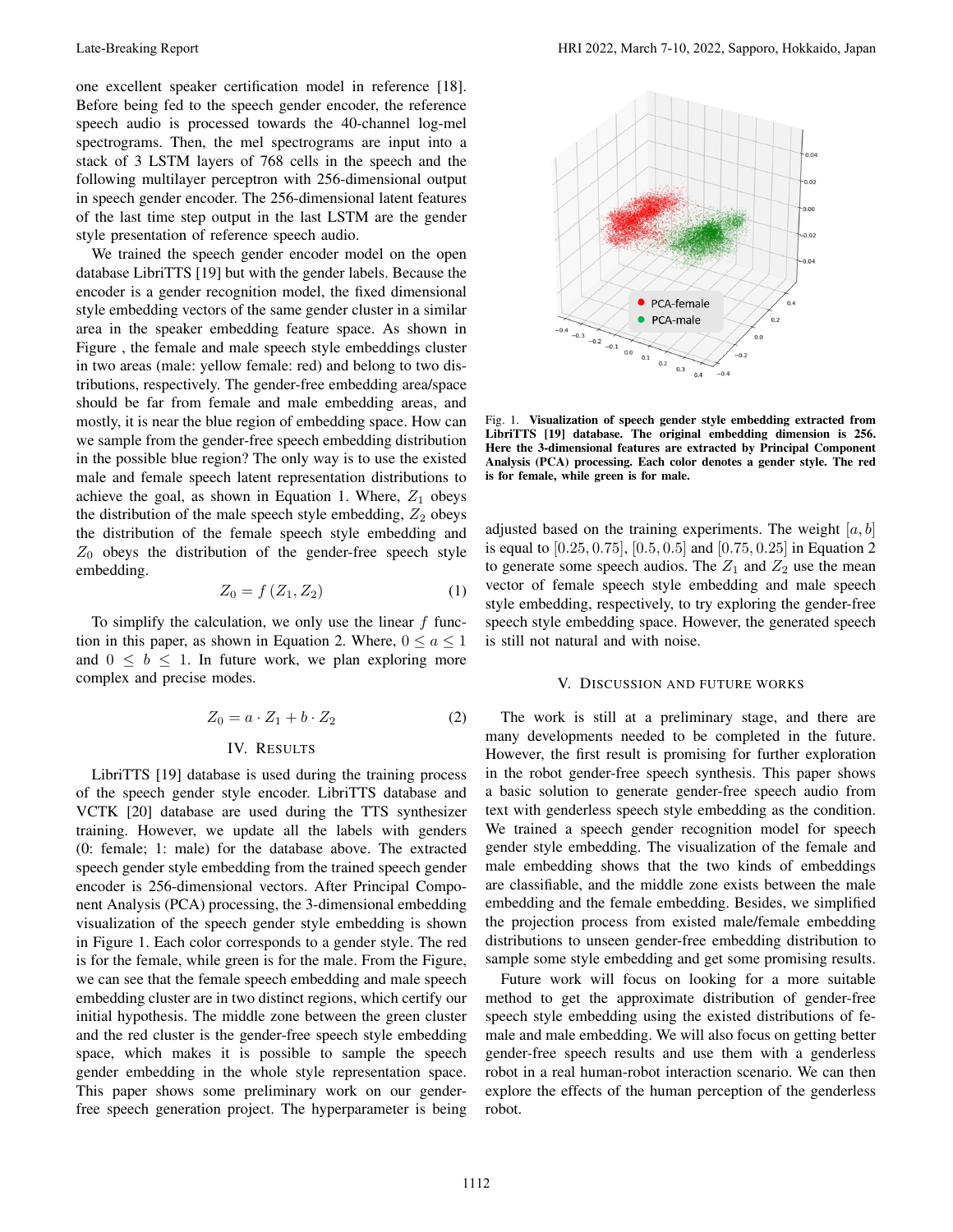one excellent speaker certification model in reference [18]. Before being fed to the speech gender encoder, the reference speech audio is processed towards the 40-channel log-mel spectrograms. Then, the mel spectrograms are input into a stack of 3 LSTM layers of 768 cells in the speech and the following multilayer perceptron with 256-dimensional output in speech gender encoder. The 256-dimensional latent features of the last time step output in the last LSTM are the gender style presentation of reference speech audio.

We trained the speech gender encoder model on the open database LibriTTS [19] but with the gender labels. Because the encoder is a gender recognition model, the fixed dimensional style embedding vectors of the same gender cluster in a similar area in the speaker embedding feature space. As shown in Figure , the female and male speech style embeddings cluster in two areas (male: yellow female: red) and belong to two distributions, respectively. The gender-free embedding area/space should be far from female and male embedding areas, and mostly, it is near the blue region of embedding space. How can we sample from the gender-free speech embedding distribution in the possible blue region? The only way is to use the existed male and female speech latent representation distributions to achieve the goal, as shown in Equation 1. Where,  $Z_1$  obeys the distribution of the male speech style embedding,  $Z_2$  obeys the distribution of the female speech style embedding and  $Z_0$  obeys the distribution of the gender-free speech style embedding.

$$
Z_0 = f(Z_1, Z_2) \tag{1}
$$

To simplify the calculation, we only use the linear *f* function in this paper, as shown in Equation 2. Where,  $0 \le a \le 1$ and  $0 \leq b \leq 1$ . In future work, we plan exploring more complex and precise modes.

$$
Z_0 = a \cdot Z_1 + b \cdot Z_2 \tag{2}
$$

# IV. RESULTS

LibriTTS [19] database is used during the training process of the speech gender style encoder. LibriTTS database and VCTK [20] database are used during the TTS synthesizer training. However, we update all the labels with genders (0: female; 1: male) for the database above. The extracted speech gender style embedding from the trained speech gender encoder is 256-dimensional vectors. After Principal Component Analysis (PCA) processing, the 3-dimensional embedding visualization of the speech gender style embedding is shown in Figure 1. Each color corresponds to a gender style. The red is for the female, while green is for the male. From the Figure, we can see that the female speech embedding and male speech embedding cluster are in two distinct regions, which certify our initial hypothesis. The middle zone between the green cluster and the red cluster is the gender-free speech style embedding space, which makes it is possible to sample the speech gender embedding in the whole style representation space. This paper shows some preliminary work on our genderfree speech generation project. The hyperparameter is being



Fig. 1. Visualization of speech gender style embedding extracted from LibriTTS [19] database. The original embedding dimension is 256. Here the 3-dimensional features are extracted by Principal Component Analysis (PCA) processing. Each color denotes a gender style. The red is for female, while green is for male.

adjusted based on the training experiments. The weight [*a, b*] is equal to [0*.*25*,* 0*.*75], [0*.*5*,* 0*.*5] and [0*.*75*,* 0*.*25] in Equation 2 to generate some speech audios. The  $Z_1$  and  $Z_2$  use the mean vector of female speech style embedding and male speech style embedding, respectively, to try exploring the gender-free speech style embedding space. However, the generated speech is still not natural and with noise.

## V. DISCUSSION AND FUTURE WORKS

The work is still at a preliminary stage, and there are many developments needed to be completed in the future. However, the first result is promising for further exploration in the robot gender-free speech synthesis. This paper shows a basic solution to generate gender-free speech audio from text with genderless speech style embedding as the condition. We trained a speech gender recognition model for speech gender style embedding. The visualization of the female and male embedding shows that the two kinds of embeddings are classifiable, and the middle zone exists between the male embedding and the female embedding. Besides, we simplified the projection process from existed male/female embedding distributions to unseen gender-free embedding distribution to sample some style embedding and get some promising results.

Future work will focus on looking for a more suitable method to get the approximate distribution of gender-free speech style embedding using the existed distributions of female and male embedding. We will also focus on getting better gender-free speech results and use them with a genderless robot in a real human-robot interaction scenario. We can then explore the effects of the human perception of the genderless robot.